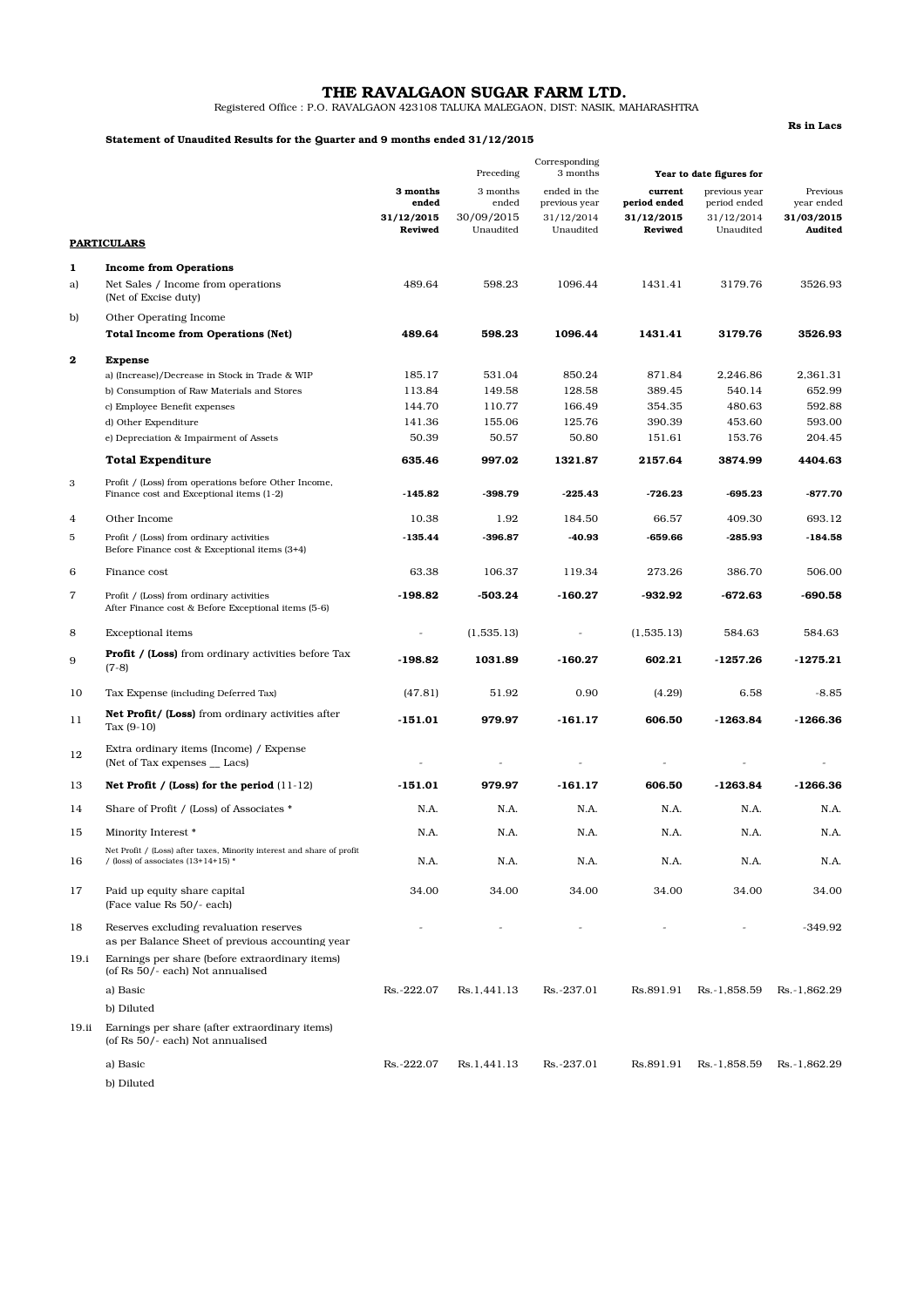# THE RAVALGAON SUGAR FARM LTD.

Registered Office : P.O. RAVALGAON 423108 TALUKA MALEGAON, DIST: NASIK, MAHARASHTRA

### Statement of Unaudited Results for the Quarter and 9 months ended 31/12/2015

Rs in Lacs

|                |                                                                                                                 | Corresponding<br>Preceding<br>3 months<br>Year to date figures for |                                 |                                             |                                       |                                             |                                      |
|----------------|-----------------------------------------------------------------------------------------------------------------|--------------------------------------------------------------------|---------------------------------|---------------------------------------------|---------------------------------------|---------------------------------------------|--------------------------------------|
|                |                                                                                                                 | 3 months<br>ended<br>31/12/2015                                    | 3 months<br>ended<br>30/09/2015 | ended in the<br>previous year<br>31/12/2014 | current<br>period ended<br>31/12/2015 | previous year<br>period ended<br>31/12/2014 | Previous<br>year ended<br>31/03/2015 |
|                | <b>PARTICULARS</b>                                                                                              | Reviwed                                                            | Unaudited                       | Unaudited                                   | Reviwed                               | Unaudited                                   | Audited                              |
| 1              | <b>Income from Operations</b>                                                                                   |                                                                    |                                 |                                             |                                       |                                             |                                      |
| a)             | Net Sales / Income from operations<br>(Net of Excise duty)                                                      | 489.64                                                             | 598.23                          | 1096.44                                     | 1431.41                               | 3179.76                                     | 3526.93                              |
| b)             | Other Operating Income<br><b>Total Income from Operations (Net)</b>                                             | 489.64                                                             | 598.23                          | 1096.44                                     | 1431.41                               | 3179.76                                     | 3526.93                              |
| $\mathbf 2$    | <b>Expense</b>                                                                                                  |                                                                    |                                 |                                             |                                       |                                             |                                      |
|                | a) (Increase)/Decrease in Stock in Trade & WIP                                                                  | 185.17                                                             | 531.04                          | 850.24                                      | 871.84                                | 2,246.86                                    | 2,361.31                             |
|                | b) Consumption of Raw Materials and Stores                                                                      | 113.84                                                             | 149.58                          | 128.58                                      | 389.45                                | 540.14                                      | 652.99                               |
|                | c) Employee Benefit expenses                                                                                    | 144.70                                                             | 110.77                          | 166.49                                      | 354.35                                | 480.63                                      | 592.88                               |
|                | d) Other Expenditure                                                                                            | 141.36                                                             | 155.06                          | 125.76                                      | 390.39                                | 453.60                                      | 593.00                               |
|                | e) Depreciation & Impairment of Assets                                                                          | 50.39                                                              | 50.57                           | 50.80                                       | 151.61                                | 153.76                                      | 204.45                               |
|                | <b>Total Expenditure</b>                                                                                        | 635.46                                                             | 997.02                          | 1321.87                                     | 2157.64                               | 3874.99                                     | 4404.63                              |
| $\,3$          | Profit / (Loss) from operations before Other Income,<br>Finance cost and Exceptional items (1-2)                | $-145.82$                                                          | $-398.79$                       | $-225.43$                                   | $-726.23$                             | $-695.23$                                   | $-877.70$                            |
| 4              | Other Income                                                                                                    | 10.38                                                              | 1.92                            | 184.50                                      | 66.57                                 | 409.30                                      | 693.12                               |
| 5              | Profit / (Loss) from ordinary activities<br>Before Finance cost & Exceptional items (3+4)                       | $-135.44$                                                          | $-396.87$                       | $-40.93$                                    | $-659.66$                             | $-285.93$                                   | $-184.58$                            |
| 6              | Finance cost                                                                                                    | 63.38                                                              | 106.37                          | 119.34                                      | 273.26                                | 386.70                                      | 506.00                               |
| $\overline{7}$ | Profit / (Loss) from ordinary activities<br>After Finance cost & Before Exceptional items (5-6)                 | $-198.82$                                                          | -503.24                         | -160.27                                     | -932.92                               | -672.63                                     | -690.58                              |
| 8              | <b>Exceptional items</b>                                                                                        | $\blacksquare$                                                     | (1,535.13)                      | $\overline{\phantom{m}}$                    | (1,535.13)                            | 584.63                                      | 584.63                               |
| 9              | <b>Profit / (Loss)</b> from ordinary activities before Tax<br>$(7-8)$                                           | $-198.82$                                                          | 1031.89                         | $-160.27$                                   | 602.21                                | $-1257.26$                                  | $-1275.21$                           |
| 10             | Tax Expense (including Deferred Tax)                                                                            | (47.81)                                                            | 51.92                           | 0.90                                        | (4.29)                                | 6.58                                        | $-8.85$                              |
| 11             | <b>Net Profit/ (Loss)</b> from ordinary activities after<br>Tax $(9-10)$                                        | $-151.01$                                                          | 979.97                          | $-161.17$                                   | 606.50                                | $-1263.84$                                  | $-1266.36$                           |
| 12             | Extra ordinary items (Income) / Expense<br>(Net of Tax expenses _ Lacs)                                         | $\overline{a}$                                                     |                                 |                                             |                                       |                                             | $\overline{a}$                       |
| 13             | Net Profit / (Loss) for the period $(11-12)$                                                                    | $-151.01$                                                          | 979.97                          | $-161.17$                                   | 606.50                                | $-1263.84$                                  | $-1266.36$                           |
| 14             | Share of Profit / (Loss) of Associates *                                                                        | N.A.                                                               | N.A.                            | N.A.                                        | N.A.                                  | N.A.                                        | N.A.                                 |
| 15             | Minority Interest *                                                                                             | N.A.                                                               | N.A.                            | N.A.                                        | N.A.                                  | N.A.                                        | N.A.                                 |
| 16             | Net Profit / (Loss) after taxes, Minority interest and share of profit<br>/ (loss) of associates $(13+14+15)$ * | N.A.                                                               | N.A.                            | N.A.                                        | N.A.                                  | N.A.                                        | N.A.                                 |
| 17             | Paid up equity share capital<br>(Face value Rs 50/- each)                                                       | 34.00                                                              | 34.00                           | 34.00                                       | 34.00                                 | 34.00                                       | 34.00                                |
| 18             | Reserves excluding revaluation reserves<br>as per Balance Sheet of previous accounting year                     |                                                                    |                                 |                                             |                                       |                                             | -349.92                              |
| 19.i           | Earnings per share (before extraordinary items)<br>(of Rs 50/- each) Not annualised                             |                                                                    |                                 |                                             |                                       |                                             |                                      |
|                | a) Basic                                                                                                        | Rs.-222.07                                                         | Rs.1,441.13                     | Rs.-237.01                                  | Rs.891.91                             | Rs.-1,858.59                                | Rs. 1,862.29                         |
|                | b) Diluted                                                                                                      |                                                                    |                                 |                                             |                                       |                                             |                                      |
| 19.ii          | Earnings per share (after extraordinary items)<br>(of Rs 50/- each) Not annualised                              |                                                                    |                                 |                                             |                                       |                                             |                                      |
|                | a) Basic<br>b) Diluted                                                                                          | Rs.-222.07                                                         | Rs.1,441.13                     | Rs.-237.01                                  | Rs.891.91                             | Rs.-1,858.59                                | Rs.-1,862.29                         |